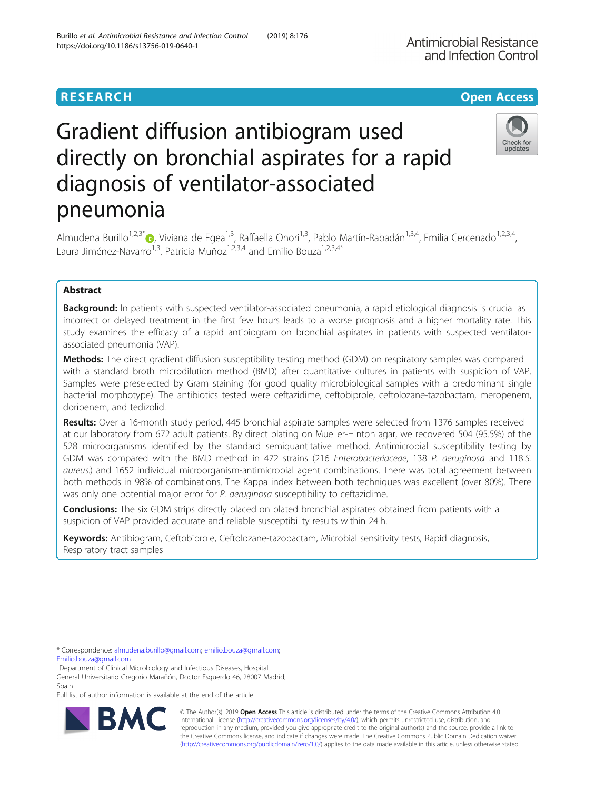Antimicrobial Resistance and Infection Control

# Gradient diffusion antibiogram used directly on bronchial aspirates for a rapid diagnosis of ventilator-associated pneumonia



Almudena Burillo<sup>1,2,3\*</sup> , Viviana de Egea<sup>1,3</sup>, Raffaella Onori<sup>1,3</sup>, Pablo Martín-Rabadán<sup>1,3,4</sup>, Emilia Cercenado<sup>1,2,3,4</sup>, Laura Jiménez-Navarro<sup>1,3</sup>, Patricia Muñoz<sup>1,2,3,4</sup> and Emilio Bouza<sup>1,2,3,4\*</sup>

## Abstract

**Background:** In patients with suspected ventilator-associated pneumonia, a rapid etiological diagnosis is crucial as incorrect or delayed treatment in the first few hours leads to a worse prognosis and a higher mortality rate. This study examines the efficacy of a rapid antibiogram on bronchial aspirates in patients with suspected ventilatorassociated pneumonia (VAP).

Methods: The direct gradient diffusion susceptibility testing method (GDM) on respiratory samples was compared with a standard broth microdilution method (BMD) after quantitative cultures in patients with suspicion of VAP. Samples were preselected by Gram staining (for good quality microbiological samples with a predominant single bacterial morphotype). The antibiotics tested were ceftazidime, ceftobiprole, ceftolozane-tazobactam, meropenem, doripenem, and tedizolid.

Results: Over a 16-month study period, 445 bronchial aspirate samples were selected from 1376 samples received at our laboratory from 672 adult patients. By direct plating on Mueller-Hinton agar, we recovered 504 (95.5%) of the 528 microorganisms identified by the standard semiquantitative method. Antimicrobial susceptibility testing by GDM was compared with the BMD method in 472 strains (216 Enterobacteriaceae, 138 P. aeruginosa and 118 S. aureus.) and 1652 individual microorganism-antimicrobial agent combinations. There was total agreement between both methods in 98% of combinations. The Kappa index between both techniques was excellent (over 80%). There was only one potential major error for P. aeruginosa susceptibility to ceftazidime.

**Conclusions:** The six GDM strips directly placed on plated bronchial aspirates obtained from patients with a suspicion of VAP provided accurate and reliable susceptibility results within 24 h.

Keywords: Antibiogram, Ceftobiprole, Ceftolozane-tazobactam, Microbial sensitivity tests, Rapid diagnosis, Respiratory tract samples

Full list of author information is available at the end of the article



© The Author(s). 2019 **Open Access** This article is distributed under the terms of the Creative Commons Attribution 4.0 International License [\(http://creativecommons.org/licenses/by/4.0/](http://creativecommons.org/licenses/by/4.0/)), which permits unrestricted use, distribution, and reproduction in any medium, provided you give appropriate credit to the original author(s) and the source, provide a link to the Creative Commons license, and indicate if changes were made. The Creative Commons Public Domain Dedication waiver [\(http://creativecommons.org/publicdomain/zero/1.0/](http://creativecommons.org/publicdomain/zero/1.0/)) applies to the data made available in this article, unless otherwise stated.

<sup>\*</sup> Correspondence: [almudena.burillo@gmail.com](mailto:almudena.burillo@gmail.com); [emilio.bouza@gmail.com](mailto:emilio.bouza@gmail.com);

[Emilio.bouza@gmail.com](mailto:Emilio.bouza@gmail.com)

<sup>&</sup>lt;sup>1</sup>Department of Clinical Microbiology and Infectious Diseases, Hospital General Universitario Gregorio Marañón, Doctor Esquerdo 46, 28007 Madrid, Spain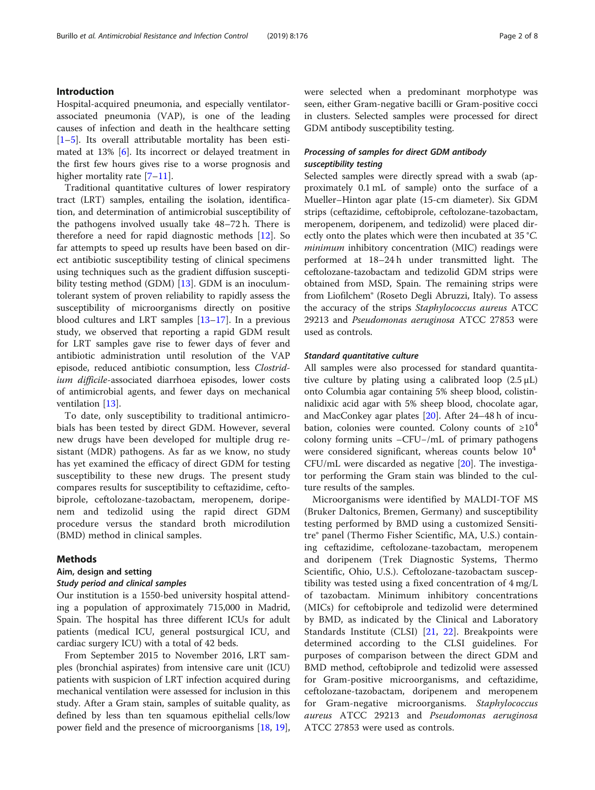## Introduction

Hospital-acquired pneumonia, and especially ventilatorassociated pneumonia (VAP), is one of the leading causes of infection and death in the healthcare setting [[1](#page-6-0)–[5\]](#page-6-0). Its overall attributable mortality has been estimated at 13% [[6\]](#page-6-0). Its incorrect or delayed treatment in the first few hours gives rise to a worse prognosis and higher mortality rate [[7](#page-6-0)–[11](#page-6-0)].

Traditional quantitative cultures of lower respiratory tract (LRT) samples, entailing the isolation, identification, and determination of antimicrobial susceptibility of the pathogens involved usually take 48–72 h. There is therefore a need for rapid diagnostic methods [[12\]](#page-6-0). So far attempts to speed up results have been based on direct antibiotic susceptibility testing of clinical specimens using techniques such as the gradient diffusion suscepti-bility testing method (GDM) [[13\]](#page-6-0). GDM is an inoculumtolerant system of proven reliability to rapidly assess the susceptibility of microorganisms directly on positive blood cultures and LRT samples [\[13](#page-6-0)–[17\]](#page-6-0). In a previous study, we observed that reporting a rapid GDM result for LRT samples gave rise to fewer days of fever and antibiotic administration until resolution of the VAP episode, reduced antibiotic consumption, less Clostridium difficile-associated diarrhoea episodes, lower costs of antimicrobial agents, and fewer days on mechanical ventilation [\[13\]](#page-6-0).

To date, only susceptibility to traditional antimicrobials has been tested by direct GDM. However, several new drugs have been developed for multiple drug resistant (MDR) pathogens. As far as we know, no study has yet examined the efficacy of direct GDM for testing susceptibility to these new drugs. The present study compares results for susceptibility to ceftazidime, ceftobiprole, ceftolozane-tazobactam, meropenem, doripenem and tedizolid using the rapid direct GDM procedure versus the standard broth microdilution (BMD) method in clinical samples.

## Methods

## Aim, design and setting

#### Study period and clinical samples

Our institution is a 1550-bed university hospital attending a population of approximately 715,000 in Madrid, Spain. The hospital has three different ICUs for adult patients (medical ICU, general postsurgical ICU, and cardiac surgery ICU) with a total of 42 beds.

From September 2015 to November 2016, LRT samples (bronchial aspirates) from intensive care unit (ICU) patients with suspicion of LRT infection acquired during mechanical ventilation were assessed for inclusion in this study. After a Gram stain, samples of suitable quality, as defined by less than ten squamous epithelial cells/low power field and the presence of microorganisms [[18](#page-6-0), [19](#page-6-0)], were selected when a predominant morphotype was seen, either Gram-negative bacilli or Gram-positive cocci in clusters. Selected samples were processed for direct GDM antibody susceptibility testing.

## Processing of samples for direct GDM antibody susceptibility testing

Selected samples were directly spread with a swab (approximately 0.1 mL of sample) onto the surface of a Mueller–Hinton agar plate (15-cm diameter). Six GDM strips (ceftazidime, ceftobiprole, ceftolozane-tazobactam, meropenem, doripenem, and tedizolid) were placed directly onto the plates which were then incubated at 35 °C. minimum inhibitory concentration (MIC) readings were performed at 18–24 h under transmitted light. The ceftolozane-tazobactam and tedizolid GDM strips were obtained from MSD, Spain. The remaining strips were from Liofilchem® (Roseto Degli Abruzzi, Italy). To assess the accuracy of the strips Staphylococcus aureus ATCC 29213 and Pseudomonas aeruginosa ATCC 27853 were used as controls.

## Standard quantitative culture

All samples were also processed for standard quantitative culture by plating using a calibrated loop  $(2.5 \mu L)$ onto Columbia agar containing 5% sheep blood, colistinnalidixic acid agar with 5% sheep blood, chocolate agar, and MacConkey agar plates [\[20](#page-6-0)]. After 24–48 h of incubation, colonies were counted. Colony counts of  $\geq 10^4$ colony forming units –CFU−/mL of primary pathogens were considered significant, whereas counts below  $10^4$ CFU/mL were discarded as negative [\[20](#page-6-0)]. The investigator performing the Gram stain was blinded to the culture results of the samples.

Microorganisms were identified by MALDI-TOF MS (Bruker Daltonics, Bremen, Germany) and susceptibility testing performed by BMD using a customized Sensititre® panel (Thermo Fisher Scientific, MA, U.S.) containing ceftazidime, ceftolozane-tazobactam, meropenem and doripenem (Trek Diagnostic Systems, Thermo Scientific, Ohio, U.S.). Ceftolozane-tazobactam susceptibility was tested using a fixed concentration of 4 mg/L of tazobactam. Minimum inhibitory concentrations (MICs) for ceftobiprole and tedizolid were determined by BMD, as indicated by the Clinical and Laboratory Standards Institute (CLSI) [[21,](#page-6-0) [22\]](#page-6-0). Breakpoints were determined according to the CLSI guidelines. For purposes of comparison between the direct GDM and BMD method, ceftobiprole and tedizolid were assessed for Gram-positive microorganisms, and ceftazidime, ceftolozane-tazobactam, doripenem and meropenem for Gram-negative microorganisms. Staphylococcus aureus ATCC 29213 and Pseudomonas aeruginosa ATCC 27853 were used as controls.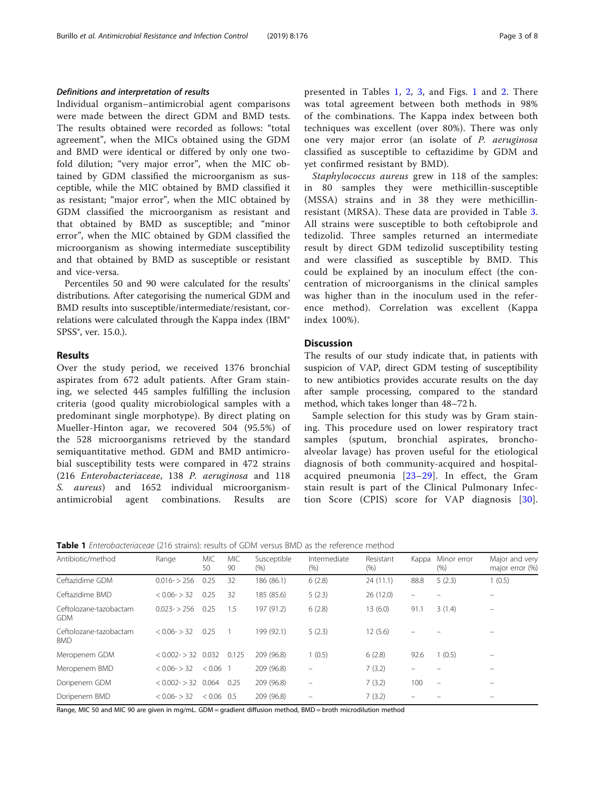## Definitions and interpretation of results

Individual organism–antimicrobial agent comparisons were made between the direct GDM and BMD tests. The results obtained were recorded as follows: "total agreement", when the MICs obtained using the GDM and BMD were identical or differed by only one twofold dilution; "very major error", when the MIC obtained by GDM classified the microorganism as susceptible, while the MIC obtained by BMD classified it as resistant; "major error", when the MIC obtained by GDM classified the microorganism as resistant and that obtained by BMD as susceptible; and "minor error", when the MIC obtained by GDM classified the microorganism as showing intermediate susceptibility and that obtained by BMD as susceptible or resistant and vice-versa.

Percentiles 50 and 90 were calculated for the results' distributions. After categorising the numerical GDM and BMD results into susceptible/intermediate/resistant, correlations were calculated through the Kappa index (IBM® SPSS<sup>®</sup>, ver. 15.0.).

## Results

Over the study period, we received 1376 bronchial aspirates from 672 adult patients. After Gram staining, we selected 445 samples fulfilling the inclusion criteria (good quality microbiological samples with a predominant single morphotype). By direct plating on Mueller-Hinton agar, we recovered 504 (95.5%) of the 528 microorganisms retrieved by the standard semiquantitative method. GDM and BMD antimicrobial susceptibility tests were compared in 472 strains (216 Enterobacteriaceae, 138 P. aeruginosa and 118 S. aureus) and 1652 individual microorganismantimicrobial agent combinations. Results are

presented in Tables 1, [2](#page-3-0), [3](#page-3-0), and Figs. [1](#page-4-0) and [2](#page-5-0). There was total agreement between both methods in 98% of the combinations. The Kappa index between both techniques was excellent (over 80%). There was only one very major error (an isolate of P. aeruginosa classified as susceptible to ceftazidime by GDM and yet confirmed resistant by BMD).

Staphylococcus aureus grew in 118 of the samples: in 80 samples they were methicillin-susceptible (MSSA) strains and in 38 they were methicillinresistant (MRSA). These data are provided in Table [3](#page-3-0). All strains were susceptible to both ceftobiprole and tedizolid. Three samples returned an intermediate result by direct GDM tedizolid susceptibility testing and were classified as susceptible by BMD. This could be explained by an inoculum effect (the concentration of microorganisms in the clinical samples was higher than in the inoculum used in the reference method). Correlation was excellent (Kappa index 100%).

## **Discussion**

The results of our study indicate that, in patients with suspicion of VAP, direct GDM testing of susceptibility to new antibiotics provides accurate results on the day after sample processing, compared to the standard method, which takes longer than 48–72 h.

Sample selection for this study was by Gram staining. This procedure used on lower respiratory tract samples (sputum, bronchial aspirates, bronchoalveolar lavage) has proven useful for the etiological diagnosis of both community-acquired and hospitalacquired pneumonia  $[23-29]$  $[23-29]$  $[23-29]$ . In effect, the Gram stain result is part of the Clinical Pulmonary Infection Score (CPIS) score for VAP diagnosis [[30](#page-7-0)].

| Antibiotic/method                    | Range            | <b>MIC</b><br>50 | <b>MIC</b><br>90 | Susceptible<br>(%) | Intermediate<br>(% )     | Resistant<br>(% ) | Kappa | Minor error<br>$(\% )$   | Major and very<br>major error (%) |
|--------------------------------------|------------------|------------------|------------------|--------------------|--------------------------|-------------------|-------|--------------------------|-----------------------------------|
| Ceftazidime GDM                      | $0.016 - 256$    | 0.25             | 32               | 186 (86.1)         | 6(2.8)                   | 24(11.1)          | 88.8  | 5(2.3)                   | (0.5)                             |
| Ceftazidime BMD                      | $< 0.06 - > 32$  | 0.25             | 32               | 185 (85.6)         | 5(2.3)                   | 26 (12.0)         | -     |                          |                                   |
| Ceftolozane-tazobactam<br><b>GDM</b> | $0.023 - 256$    | 0.25             | 1.5              | 197 (91.2)         | 6(2.8)                   | 13(6.0)           | 91.1  | 3(1.4)                   | $\overline{\phantom{0}}$          |
| Ceftolozane-tazobactam<br><b>BMD</b> | $< 0.06 - 32$    | 0.25             |                  | 199 (92.1)         | 5(2.3)                   | 12(5.6)           |       |                          |                                   |
| Meropenem GDM                        | $< 0.002 - > 32$ | 0.032            | 0.125            | 209 (96.8)         | 1(0.5)                   | 6(2.8)            | 92.6  | 1(0.5)                   |                                   |
| Meropenem BMD                        | $< 0.06 - 32$    | $< 0.06$ 1       |                  | 209 (96.8)         |                          | 7(3.2)            |       |                          |                                   |
| Doripenem GDM                        | $< 0.002 - > 32$ | $0.064$ 0.25     |                  | 209 (96.8)         | $\overline{\phantom{0}}$ | 7(3.2)            | 100   | $\overline{\phantom{0}}$ |                                   |
| Doripenem BMD                        | $< 0.06 - 32$    | $< 0.06$ 0.5     |                  | 209 (96.8)         |                          | 7(3.2)            |       |                          |                                   |

Range, MIC 50 and MIC 90 are given in mg/mL. GDM = gradient diffusion method, BMD = broth microdilution method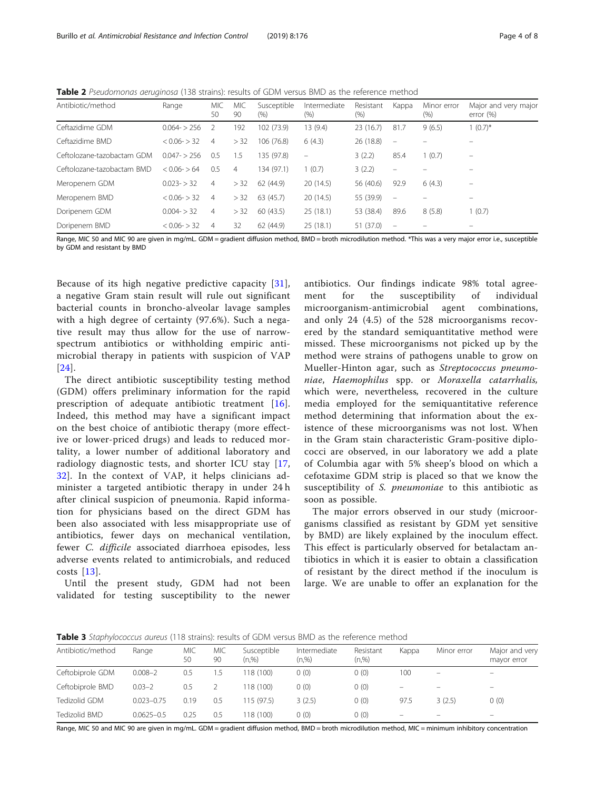<span id="page-3-0"></span>**Table 2** Pseudomonas aeruginosa (138 strains): results of GDM versus BMD as the reference method

| Antibiotic/method          | Range           | <b>MIC</b><br>50 | <b>MIC</b><br>90 | Susceptible<br>$(\% )$ | Intermediate<br>(%) | Resistant<br>$(\% )$ | Kappa                    | Minor error<br>$(\% )$ | Major and very major<br>error $(\%)$ |
|----------------------------|-----------------|------------------|------------------|------------------------|---------------------|----------------------|--------------------------|------------------------|--------------------------------------|
| Ceftazidime GDM            | $0.064 - 256$   | -2               | 192              | 102 (73.9)             | 13 (9.4)            | 23(16.7)             | $\overline{7}$<br>81.7   | 9(6.5)                 | $(0.7)^{*}$                          |
| Ceftazidime BMD            | $< 0.06 - 32$   | 4                | > 32             | 106 (76.8)             | 6(4.3)              | 26 (18.8)            | $\equiv$                 |                        |                                      |
| Ceftolozane-tazobactam GDM | $0.047 - 256$   | 0.5              | ۱.5              | 135 (97.8)             | $\qquad \qquad =$   | 3(2.2)               | 85.4                     | 1(0.7)                 | $\equiv$                             |
| Ceftolozane-tazobactam BMD | $< 0.06 - 5.64$ | 0.5              | 4                | 134 (97.1)             | 1(0.7)              | 3(2.2)               | $\equiv$                 |                        |                                      |
| Meropenem GDM              | $0.023 - 32$    | $\overline{4}$   | > 32             | 62 (44.9)              | 20(14.5)            | 56 (40.6)            | 92.9                     | 6(4.3)                 | $\qquad \qquad -$                    |
| Meropenem BMD              | $< 0.06 - 32$   | 4                | > 32             | 63 (45.7)              | 20(14.5)            | 55 (39.9)            | $\overline{\phantom{a}}$ |                        | $\qquad \qquad -$                    |
| Doripenem GDM              | $0.004 - 32$    | $\overline{4}$   | > 32             | 60(43.5)               | 25(18.1)            | 53 (38.4)            | 89.6                     | 8(5.8)                 | (0.7)                                |
| Doripenem BMD              | $< 0.06 - > 32$ | 4                | 32               | 62(44.9)               | 25(18.1)            | 51 (37.0)            | $\overline{\phantom{m}}$ |                        |                                      |

Range, MIC 50 and MIC 90 are given in mg/mL. GDM = gradient diffusion method, BMD = broth microdilution method. \*This was a very major error i.e., susceptible by GDM and resistant by BMD

Because of its high negative predictive capacity [[31](#page-7-0)], a negative Gram stain result will rule out significant bacterial counts in broncho-alveolar lavage samples with a high degree of certainty (97.6%). Such a negative result may thus allow for the use of narrowspectrum antibiotics or withholding empiric antimicrobial therapy in patients with suspicion of VAP [[24](#page-6-0)].

The direct antibiotic susceptibility testing method (GDM) offers preliminary information for the rapid prescription of adequate antibiotic treatment [[16](#page-6-0)]. Indeed, this method may have a significant impact on the best choice of antibiotic therapy (more effective or lower-priced drugs) and leads to reduced mortality, a lower number of additional laboratory and radiology diagnostic tests, and shorter ICU stay [\[17](#page-6-0), [32\]](#page-7-0). In the context of VAP, it helps clinicians administer a targeted antibiotic therapy in under 24 h after clinical suspicion of pneumonia. Rapid information for physicians based on the direct GDM has been also associated with less misappropriate use of antibiotics, fewer days on mechanical ventilation, fewer C. difficile associated diarrhoea episodes, less adverse events related to antimicrobials, and reduced costs [[13](#page-6-0)].

Until the present study, GDM had not been validated for testing susceptibility to the newer antibiotics. Our findings indicate 98% total agreement for the susceptibility of individual microorganism-antimicrobial agent combinations, and only 24 (4.5) of the 528 microorganisms recovered by the standard semiquantitative method were missed. These microorganisms not picked up by the method were strains of pathogens unable to grow on Mueller-Hinton agar, such as *Streptococcus pneumo*niae, Haemophilus spp. or Moraxella catarrhalis, which were, nevertheless, recovered in the culture media employed for the semiquantitative reference method determining that information about the existence of these microorganisms was not lost. When in the Gram stain characteristic Gram-positive diplococci are observed, in our laboratory we add a plate of Columbia agar with 5% sheep's blood on which a cefotaxime GDM strip is placed so that we know the susceptibility of S. *pneumoniae* to this antibiotic as soon as possible.

The major errors observed in our study (microorganisms classified as resistant by GDM yet sensitive by BMD) are likely explained by the inoculum effect. This effect is particularly observed for betalactam antibiotics in which it is easier to obtain a classification of resistant by the direct method if the inoculum is large. We are unable to offer an explanation for the

**Table 3** Staphylococcus aureus (118 strains): results of GDM versus BMD as the reference method

| Antibiotic/method | Range          | MIC<br>50 | MIC<br>90 | Susceptible<br>(n, %) | Intermediate<br>(n,%) | Resistant<br>(n,%) | Kappa | Minor error              | Major and very<br>mayor error |
|-------------------|----------------|-----------|-----------|-----------------------|-----------------------|--------------------|-------|--------------------------|-------------------------------|
| Ceftobiprole GDM  | $0.008 - 2$    | 0.5       | 1.5       | 118 (100)             | 0(0)                  | 0(0)               | 100   |                          |                               |
| Ceftobiprole BMD  | $0.03 - 2$     | 0.5       |           | 118 (100)             | 0(0)                  | 0(0)               | -     | $\overline{\phantom{0}}$ | $\overline{\phantom{a}}$      |
| Tedizolid GDM     | $0.023 - 0.75$ | 0.19      | 0.5       | 115(97.5)             | 3(2.5)                | 0(0)               | 97.5  | 3(2.5)                   | 0(0)                          |
| Tedizolid BMD     | $0.0625 - 0.5$ | 0.25      | 0.5       | 118 (100)             | 0(0)                  | 0(0)               | -     |                          | $\overline{\phantom{0}}$      |

Range, MIC 50 and MIC 90 are given in mg/mL. GDM = gradient diffusion method, BMD = broth microdilution method, MIC = minimum inhibitory concentration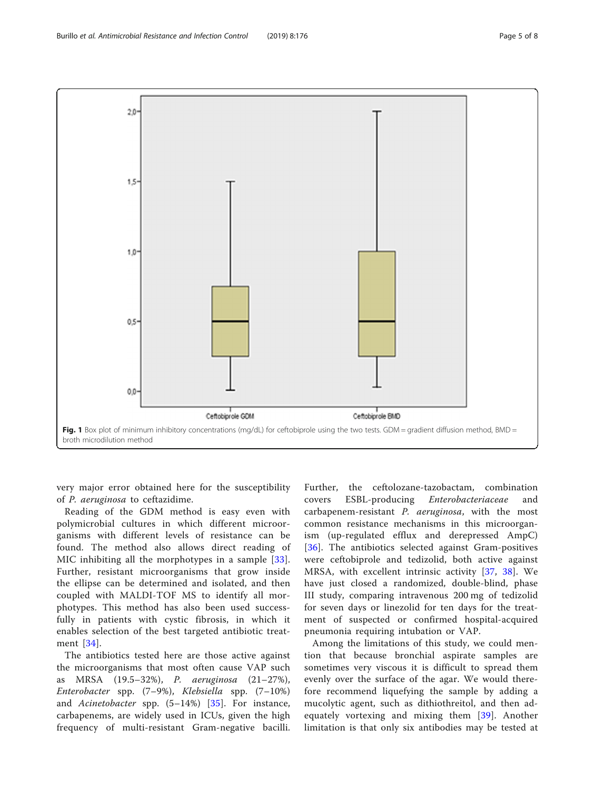<span id="page-4-0"></span>

very major error obtained here for the susceptibility of P. aeruginosa to ceftazidime.

Reading of the GDM method is easy even with polymicrobial cultures in which different microorganisms with different levels of resistance can be found. The method also allows direct reading of MIC inhibiting all the morphotypes in a sample [[33](#page-7-0)]. Further, resistant microorganisms that grow inside the ellipse can be determined and isolated, and then coupled with MALDI-TOF MS to identify all morphotypes. This method has also been used successfully in patients with cystic fibrosis, in which it enables selection of the best targeted antibiotic treatment [[34](#page-7-0)].

The antibiotics tested here are those active against the microorganisms that most often cause VAP such as MRSA (19.5–32%), P. aeruginosa (21–27%), Enterobacter spp. (7–9%), Klebsiella spp. (7–10%) and Acinetobacter spp.  $(5-14%)$   $[35]$  $[35]$ . For instance, carbapenems, are widely used in ICUs, given the high frequency of multi-resistant Gram-negative bacilli.

Further, the ceftolozane-tazobactam, combination covers ESBL-producing Enterobacteriaceae and carbapenem-resistant P. aeruginosa, with the most common resistance mechanisms in this microorganism (up-regulated efflux and derepressed AmpC) [[36](#page-7-0)]. The antibiotics selected against Gram-positives were ceftobiprole and tedizolid, both active against MRSA, with excellent intrinsic activity [\[37,](#page-7-0) [38](#page-7-0)]. We have just closed a randomized, double-blind, phase III study, comparing intravenous 200 mg of tedizolid for seven days or linezolid for ten days for the treatment of suspected or confirmed hospital-acquired pneumonia requiring intubation or VAP.

Among the limitations of this study, we could mention that because bronchial aspirate samples are sometimes very viscous it is difficult to spread them evenly over the surface of the agar. We would therefore recommend liquefying the sample by adding a mucolytic agent, such as dithiothreitol, and then adequately vortexing and mixing them [\[39\]](#page-7-0). Another limitation is that only six antibodies may be tested at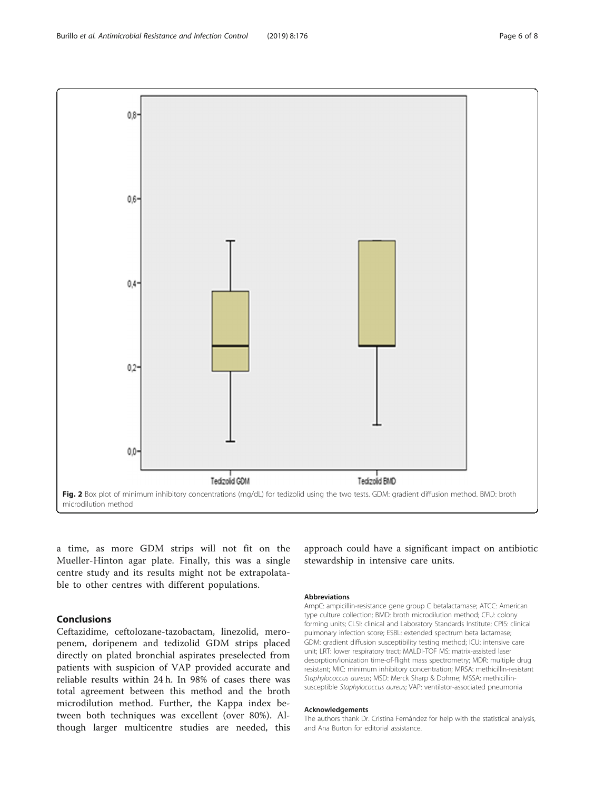<span id="page-5-0"></span>

a time, as more GDM strips will not fit on the Mueller-Hinton agar plate. Finally, this was a single centre study and its results might not be extrapolatable to other centres with different populations.

## Conclusions

Ceftazidime, ceftolozane-tazobactam, linezolid, meropenem, doripenem and tedizolid GDM strips placed directly on plated bronchial aspirates preselected from patients with suspicion of VAP provided accurate and reliable results within 24 h. In 98% of cases there was total agreement between this method and the broth microdilution method. Further, the Kappa index between both techniques was excellent (over 80%). Although larger multicentre studies are needed, this approach could have a significant impact on antibiotic stewardship in intensive care units.

#### Abbreviations

AmpC: ampicillin-resistance gene group C betalactamase; ATCC: American type culture collection; BMD: broth microdilution method; CFU: colony forming units; CLSI: clinical and Laboratory Standards Institute; CPIS: clinical pulmonary infection score; ESBL: extended spectrum beta lactamase; GDM: gradient diffusion susceptibility testing method; ICU: intensive care unit; LRT: lower respiratory tract; MALDI-TOF MS: matrix-assisted laser desorption/ionization time-of-flight mass spectrometry; MDR: multiple drug resistant; MIC: minimum inhibitory concentration; MRSA: methicillin-resistant Staphylococcus aureus; MSD: Merck Sharp & Dohme; MSSA: methicillinsusceptible Staphylococcus aureus; VAP: ventilator-associated pneumonia

#### Acknowledgements

The authors thank Dr. Cristina Fernández for help with the statistical analysis, and Ana Burton for editorial assistance.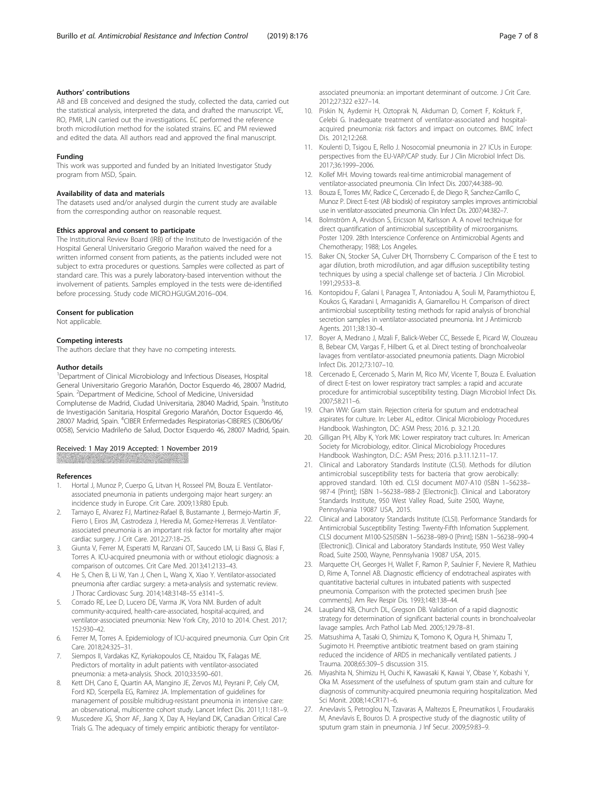## <span id="page-6-0"></span>Authors' contributions

AB and EB conceived and designed the study, collected the data, carried out the statistical analysis, interpreted the data, and drafted the manuscript. VE, RO, PMR, LJN carried out the investigations. EC performed the reference broth microdilution method for the isolated strains. EC and PM reviewed and edited the data. All authors read and approved the final manuscript.

#### Funding

This work was supported and funded by an Initiated Investigator Study program from MSD, Spain.

## Availability of data and materials

The datasets used and/or analysed durgin the current study are available from the corresponding author on reasonable request.

#### Ethics approval and consent to participate

The Institutional Review Board (IRB) of the Instituto de Investigación of the Hospital General Universitario Gregorio Marañon waived the need for a written informed consent from patients, as the patients included were not subject to extra procedures or questions. Samples were collected as part of standard care. This was a purely laboratory-based intervention without the involvement of patients. Samples employed in the tests were de-identified before processing. Study code MICRO.HGUGM.2016–004.

#### Consent for publication

Not applicable.

#### Competing interests

The authors declare that they have no competing interests.

#### Author details

<sup>1</sup>Department of Clinical Microbiology and Infectious Diseases, Hospital General Universitario Gregorio Marañón, Doctor Esquerdo 46, 28007 Madrid, Spain. <sup>2</sup>Department of Medicine, School of Medicine, Universidad Complutense de Madrid, Ciudad Universitaria, 28040 Madrid, Spain. <sup>3</sup>Instituto de Investigación Sanitaria, Hospital Gregorio Marañón, Doctor Esquerdo 46, 28007 Madrid, Spain. <sup>4</sup>CIBER Enfermedades Respiratorias-CIBERES (CB06/06/ 0058), Servicio Madrileño de Salud, Doctor Esquerdo 46, 28007 Madrid, Spain.

### Received: 1 May 2019 Accepted: 1 November 2019

#### References

- 1. Hortal J, Munoz P, Cuerpo G, Litvan H, Rosseel PM, Bouza E. Ventilatorassociated pneumonia in patients undergoing major heart surgery: an incidence study in Europe. Crit Care. 2009;13:R80 Epub.
- 2. Tamayo E, Alvarez FJ, Martinez-Rafael B, Bustamante J, Bermejo-Martin JF, Fierro I, Eiros JM, Castrodeza J, Heredia M, Gomez-Herreras JI. Ventilatorassociated pneumonia is an important risk factor for mortality after major cardiac surgery. J Crit Care. 2012;27:18–25.
- 3. Giunta V, Ferrer M, Esperatti M, Ranzani OT, Saucedo LM, Li Bassi G, Blasi F, Torres A. ICU-acquired pneumonia with or without etiologic diagnosis: a comparison of outcomes. Crit Care Med. 2013;41:2133–43.
- 4. He S, Chen B, Li W, Yan J, Chen L, Wang X, Xiao Y. Ventilator-associated pneumonia after cardiac surgery: a meta-analysis and systematic review. J Thorac Cardiovasc Surg. 2014;148:3148–55 e3141–5.
- 5. Corrado RE, Lee D, Lucero DE, Varma JK, Vora NM. Burden of adult community-acquired, health-care-associated, hospital-acquired, and ventilator-associated pneumonia: New York City, 2010 to 2014. Chest. 2017; 152:930–42.
- 6. Ferrer M, Torres A. Epidemiology of ICU-acquired pneumonia. Curr Opin Crit Care. 2018;24:325–31.
- 7. Siempos II, Vardakas KZ, Kyriakopoulos CE, Ntaidou TK, Falagas ME. Predictors of mortality in adult patients with ventilator-associated pneumonia: a meta-analysis. Shock. 2010;33:590–601.
- Kett DH, Cano E, Quartin AA, Mangino JE, Zervos MJ, Peyrani P, Cely CM, Ford KD, Scerpella EG, Ramirez JA. Implementation of guidelines for management of possible multidrug-resistant pneumonia in intensive care: an observational, multicentre cohort study. Lancet Infect Dis. 2011;11:181–9.
- Muscedere JG, Shorr AF, Jiang X, Day A, Heyland DK, Canadian Critical Care Trials G. The adequacy of timely empiric antibiotic therapy for ventilator-

associated pneumonia: an important determinant of outcome. J Crit Care. 2012;27:322 e327–14.

- 10. Piskin N, Aydemir H, Oztoprak N, Akduman D, Comert F, Kokturk F, Celebi G. Inadequate treatment of ventilator-associated and hospitalacquired pneumonia: risk factors and impact on outcomes. BMC Infect Dis. 2012;12:268.
- 11. Koulenti D, Tsigou E, Rello J. Nosocomial pneumonia in 27 ICUs in Europe: perspectives from the EU-VAP/CAP study. Eur J Clin Microbiol Infect Dis. 2017;36:1999–2006.
- 12. Kollef MH. Moving towards real-time antimicrobial management of ventilator-associated pneumonia. Clin Infect Dis. 2007;44:388–90.
- 13. Bouza E, Torres MV, Radice C, Cercenado E, de Diego R, Sanchez-Carrillo C, Munoz P. Direct E-test (AB biodisk) of respiratory samples improves antimicrobial use in ventilator-associated pneumonia. Clin Infect Dis. 2007;44:382–7.
- 14. Bolmström A, Arvidson S, Ericsson M, Karlsson A. A novel technique for direct quantification of antimicrobial susceptibility of microorganisms. Poster 1209. 28th Interscience Conference on Antimicrobial Agents and Chemotherapy; 1988; Los Angeles.
- 15. Baker CN, Stocker SA, Culver DH, Thornsberry C. Comparison of the E test to agar dilution, broth microdilution, and agar diffusion susceptibility testing techniques by using a special challenge set of bacteria. J Clin Microbiol. 1991;29:533–8.
- 16. Kontopidou F, Galani I, Panagea T, Antoniadou A, Souli M, Paramythiotou E, Koukos G, Karadani I, Armaganidis A, Giamarellou H. Comparison of direct antimicrobial susceptibility testing methods for rapid analysis of bronchial secretion samples in ventilator-associated pneumonia. Int J Antimicrob Agents. 2011;38:130–4.
- 17. Boyer A, Medrano J, Mzali F, Balick-Weber CC, Bessede E, Picard W, Clouzeau B, Bebear CM, Vargas F, Hilbert G, et al. Direct testing of bronchoalveolar lavages from ventilator-associated pneumonia patients. Diagn Microbiol Infect Dis. 2012;73:107–10.
- 18. Cercenado E, Cercenado S, Marin M, Rico MV, Vicente T, Bouza E. Evaluation of direct E-test on lower respiratory tract samples: a rapid and accurate procedure for antimicrobial susceptibility testing. Diagn Microbiol Infect Dis. 2007;58:211–6.
- 19. Chan WW: Gram stain. Rejection criteria for sputum and endotracheal aspirates for culture. In: Leber AL, editor. Clinical Microbiology Procedures Handbook. Washington, DC: ASM Press; 2016. p. 3.2.1.20.
- 20. Gilligan PH, Alby K, York MK: Lower respiratory tract cultures. In: American Society for Microbiology, editor. Clinical Microbiology Procedures Handbook. Washington, D.C.: ASM Press; 2016. p.3.11.12.11–17.
- 21. Clinical and Laboratory Standards Institute (CLSI). Methods for dilution antimicrobial susceptibility tests for bacteria that grow aerobically: approved standard. 10th ed. CLSI document M07-A10 (ISBN 1–56238– 987-4 [Print]; ISBN 1–56238–988-2 [Electronic]). Clinical and Laboratory Standards Institute, 950 West Valley Road, Suite 2500, Wayne, Pennsylvania 19087 USA, 2015.
- 22. Clinical and Laboratory Standards Institute (CLSI). Performance Standards for Antimicrobial Susceptibility Testing: Twenty-Fifth Infomation Supplement. CLSI document M100-S25(ISBN 1–56238–989-0 [Print]; ISBN 1–56238–990-4 [Electronic]). Clinical and Laboratory Standards Institute, 950 West Valley Road, Suite 2500, Wayne, Pennsylvania 19087 USA, 2015.
- 23. Marquette CH, Georges H, Wallet F, Ramon P, Saulnier F, Neviere R, Mathieu D, Rime A, Tonnel AB. Diagnostic efficiency of endotracheal aspirates with quantitative bacterial cultures in intubated patients with suspected pneumonia. Comparison with the protected specimen brush [see comments]. Am Rev Respir Dis. 1993;148:138–44.
- 24. Laupland KB, Church DL, Gregson DB. Validation of a rapid diagnostic strategy for determination of significant bacterial counts in bronchoalveolar lavage samples. Arch Pathol Lab Med. 2005;129:78–81.
- 25. Matsushima A, Tasaki O, Shimizu K, Tomono K, Ogura H, Shimazu T, Sugimoto H. Preemptive antibiotic treatment based on gram staining reduced the incidence of ARDS in mechanically ventilated patients. J Trauma. 2008;65:309–5 discussion 315.
- 26. Miyashita N, Shimizu H, Ouchi K, Kawasaki K, Kawai Y, Obase Y, Kobashi Y, Oka M. Assessment of the usefulness of sputum gram stain and culture for diagnosis of community-acquired pneumonia requiring hospitalization. Med Sci Monit. 2008;14:CR171–6.
- 27. Anevlavis S, Petroglou N, Tzavaras A, Maltezos E, Pneumatikos I, Froudarakis M, Anevlavis E, Bouros D. A prospective study of the diagnostic utility of sputum gram stain in pneumonia. J Inf Secur. 2009;59:83–9.